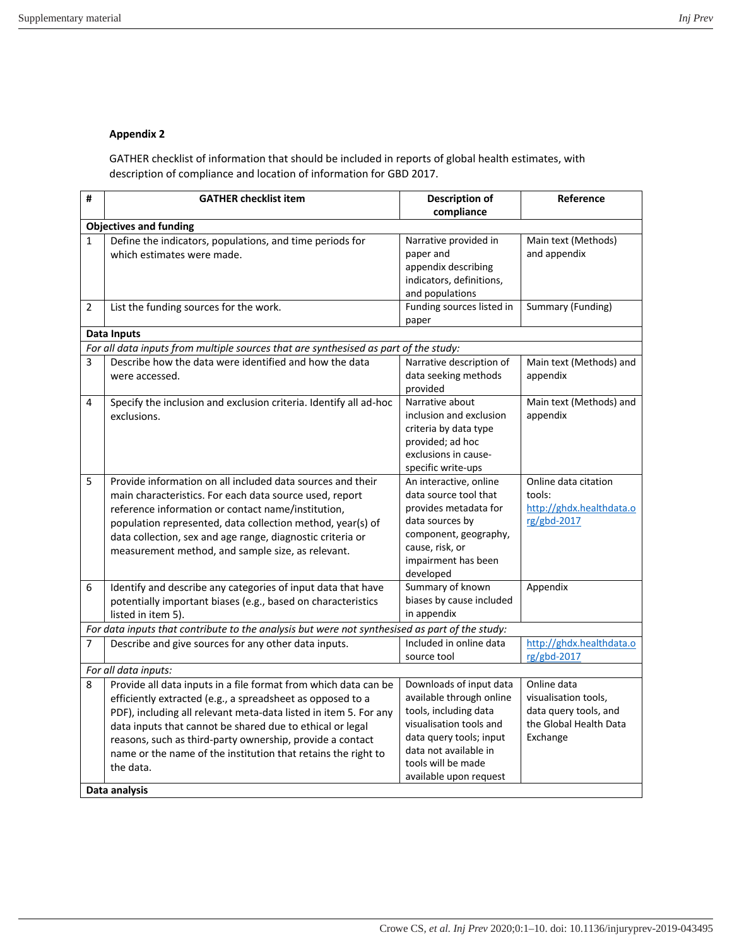## **Appendix 2**

GATHER checklist of information that should be included in reports of global health estimates, with description of compliance and location of information for GBD 2017.

| #                                                                                    | <b>GATHER checklist item</b>                                                                                                                                                                                                                                                                                                                                                                              | <b>Description of</b><br>compliance                                                                                                                                                                         | Reference                                                                                          |  |  |
|--------------------------------------------------------------------------------------|-----------------------------------------------------------------------------------------------------------------------------------------------------------------------------------------------------------------------------------------------------------------------------------------------------------------------------------------------------------------------------------------------------------|-------------------------------------------------------------------------------------------------------------------------------------------------------------------------------------------------------------|----------------------------------------------------------------------------------------------------|--|--|
| <b>Objectives and funding</b>                                                        |                                                                                                                                                                                                                                                                                                                                                                                                           |                                                                                                                                                                                                             |                                                                                                    |  |  |
| $\mathbf{1}$                                                                         | Define the indicators, populations, and time periods for<br>which estimates were made.                                                                                                                                                                                                                                                                                                                    | Narrative provided in<br>paper and<br>appendix describing<br>indicators, definitions,<br>and populations                                                                                                    | Main text (Methods)<br>and appendix                                                                |  |  |
| 2                                                                                    | List the funding sources for the work.                                                                                                                                                                                                                                                                                                                                                                    | Funding sources listed in<br>paper                                                                                                                                                                          | Summary (Funding)                                                                                  |  |  |
|                                                                                      | <b>Data Inputs</b>                                                                                                                                                                                                                                                                                                                                                                                        |                                                                                                                                                                                                             |                                                                                                    |  |  |
| For all data inputs from multiple sources that are synthesised as part of the study: |                                                                                                                                                                                                                                                                                                                                                                                                           |                                                                                                                                                                                                             |                                                                                                    |  |  |
| 3                                                                                    | Describe how the data were identified and how the data<br>were accessed.                                                                                                                                                                                                                                                                                                                                  | Narrative description of<br>data seeking methods<br>provided                                                                                                                                                | Main text (Methods) and<br>appendix                                                                |  |  |
| 4                                                                                    | Specify the inclusion and exclusion criteria. Identify all ad-hoc<br>exclusions.                                                                                                                                                                                                                                                                                                                          | Narrative about<br>inclusion and exclusion<br>criteria by data type<br>provided; ad hoc<br>exclusions in cause-<br>specific write-ups                                                                       | Main text (Methods) and<br>appendix                                                                |  |  |
| 5                                                                                    | Provide information on all included data sources and their<br>main characteristics. For each data source used, report<br>reference information or contact name/institution,<br>population represented, data collection method, year(s) of<br>data collection, sex and age range, diagnostic criteria or<br>measurement method, and sample size, as relevant.                                              | An interactive, online<br>data source tool that<br>provides metadata for<br>data sources by<br>component, geography,<br>cause, risk, or<br>impairment has been<br>developed                                 | Online data citation<br>tools:<br>http://ghdx.healthdata.o<br>rg/gbd-2017                          |  |  |
| 6                                                                                    | Identify and describe any categories of input data that have<br>potentially important biases (e.g., based on characteristics<br>listed in item 5).                                                                                                                                                                                                                                                        | Summary of known<br>biases by cause included<br>in appendix                                                                                                                                                 | Appendix                                                                                           |  |  |
|                                                                                      | For data inputs that contribute to the analysis but were not synthesised as part of the study:                                                                                                                                                                                                                                                                                                            |                                                                                                                                                                                                             |                                                                                                    |  |  |
| $\overline{7}$                                                                       | Describe and give sources for any other data inputs.                                                                                                                                                                                                                                                                                                                                                      | Included in online data<br>source tool                                                                                                                                                                      | http://ghdx.healthdata.o<br>rg/gbd-2017                                                            |  |  |
| For all data inputs:                                                                 |                                                                                                                                                                                                                                                                                                                                                                                                           |                                                                                                                                                                                                             |                                                                                                    |  |  |
| 8                                                                                    | Provide all data inputs in a file format from which data can be<br>efficiently extracted (e.g., a spreadsheet as opposed to a<br>PDF), including all relevant meta-data listed in item 5. For any<br>data inputs that cannot be shared due to ethical or legal<br>reasons, such as third-party ownership, provide a contact<br>name or the name of the institution that retains the right to<br>the data. | Downloads of input data<br>available through online<br>tools, including data<br>visualisation tools and<br>data query tools; input<br>data not available in<br>tools will be made<br>available upon request | Online data<br>visualisation tools,<br>data query tools, and<br>the Global Health Data<br>Exchange |  |  |
|                                                                                      | Data analysis                                                                                                                                                                                                                                                                                                                                                                                             |                                                                                                                                                                                                             |                                                                                                    |  |  |